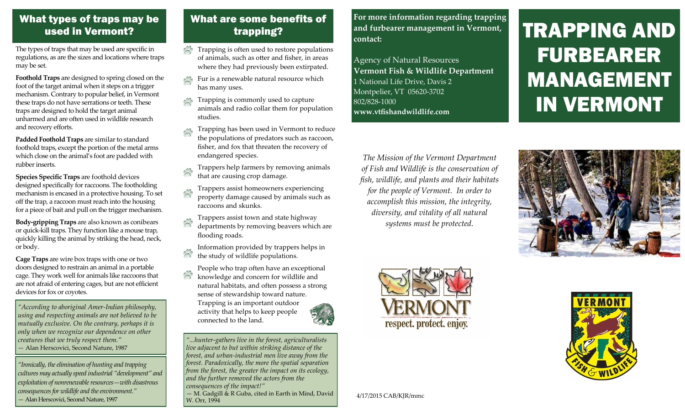#### What types of traps may be used in Vermont?

The types of traps that may be used are specific in regulations, as are the sizes and locations where traps may be set.

**Foothold Traps** are designed to spring closed on the foot of the target animal when it steps on a trigger mechanism. Contrary to popular belief, in Vermont these traps do not have serrations or teeth. These traps are designed to hold the target animal unharmed and are often used in wildlife research and recovery efforts.

**Padded Foothold Traps** are similar to standard foothold traps, except the portion of the metal arms which close on the animal's foot are padded with rubber inserts.

**Species Specific Traps** are foothold devices designed specifically for raccoons. The footholding mechanism is encased in a protective housing. To set off the trap, a raccoon must reach into the housing for a piece of bait and pull on the trigger mechanism.

**Body-gripping Traps** are also known as conibears or quick-kill traps. They function like a mouse trap, quickly killing the animal by striking the head, neck, or body.

**Cage Traps** are wire box traps with one or two doors designed to restrain an animal in a portable cage. They work well for animals like raccoons that are not afraid of entering cages, but are not efficient devices for fox or coyotes.

*"According to aboriginal Amer-Indian philosophy, using and respecting animals are not believed to be mutually exclusive. On the contrary, perhaps it is only when we recognize our dependence on other creatures that we truly respect them."* — Alan Herscovici, Second Nature, 1987

*"Ironically, the elimination of hunting and trapping cultures may actually speed industrial "development" and exploitation of nonrenewable resources—with disastrous consequences for wildlife and the environment."* — Alan Herscovici, Second Nature, 1997

# What are some benefits of trapping?

- Trapping is often used to restore populations of animals, such as otter and fisher, in areas where they had previously been extirpated.
- **PM** Fur is a renewable natural resource which has many uses.
- Trapping is commonly used to capture animals and radio collar them for population studies.
- Trapping has been used in Vermont to reduce the populations of predators such as raccoon, fisher, and fox that threaten the recovery of endangered species.
- Trappers help farmers by removing animals that are causing crop damage.
- Trappers assist homeowners experiencing property damage caused by animals such as raccoons and skunks.
- Trappers assist town and state highway departments by removing beavers which are flooding roads.

Information provided by trappers helps in

- the study of wildlife populations.
- People who trap often have an exceptional
- knowledge and concern for wildlife and natural habitats, and often possess a strong sense of stewardship toward nature. Trapping is an important outdoor activity that helps to keep people connected to the land.

*"...hunter-gathers live in the forest, agriculturalists live adjacent to but within striking distance of the forest, and urban-industrial men live away from the forest. Paradoxically, the more the spatial separation from the forest, the greater the impact on its ecology, and the further removed the actors from the consequences of the impact!"* — M. Gadgill & R Guba, cited in Earth in Mind, David W. Orr, 1994

**For more information regarding trapping and furbearer management in Vermont, contact:**

Agency of Natural Resources **Vermont Fish & Wildlife Department** 1 National Life Drive, Davis 2 Montpelier, VT 05620-3702 802/828-1000 **www.vtfishandwildlife.com**

# TRAPPING AND FURBEARER MANAGEMENT IN VERMONT

*The Mission of the Vermont Department of Fish and Wildlife is the conservation of fish, wildlife, and plants and their habitats for the people of Vermont. In order to accomplish this mission, the integrity, diversity, and vitality of all natural systems must be protected.*







4/17/2015 CAB/KJR/mmc